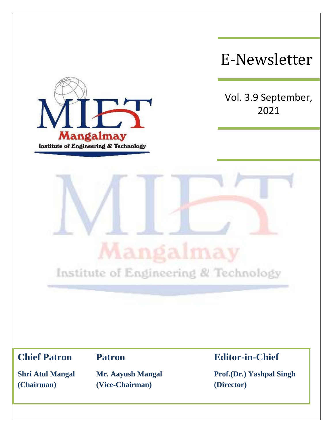

E-Newsletter

Vol. 3.9 September, 2021



**(Chairman) (Vice-Chairman) (Director)**

**Chief Patron Patron Editor-in-Chief**

**Shri Atul Mangal Mr. Aayush Mangal Prof.(Dr.) Yashpal Singh**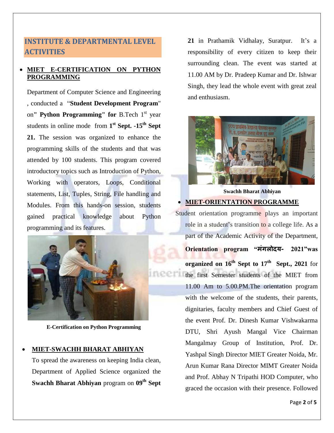# **INSTITUTE & DEPARTMENTAL LEVEL ACTIVITIES**

## **MIET E-CERTIFICATION ON PYTHON PROGRAMMING**

Department of Computer Science and Engineering , conducted a "**Student Development Program**" on**" Python Programming" for** B.Tech 1 st year students in online mode from 1<sup>st</sup> Sept. -15<sup>th</sup> Sept **21.** The session was organized to enhance the programming skills of the students and that was attended by 100 students. This program covered introductory topics such as Introduction of Python, Working with operators, Loops, Conditional statements, List, Tuples, String, File handling and Modules. From this hands-on session, students gained practical knowledge about Python programming and its features.



**E-Certification on Python Programming**

#### **MIET-SWACHH BHARAT ABHIYAN**

To spread the awareness on keeping India clean, Department of Applied Science organized the **Swachh Bharat Abhiyan** program on **09th Sept** 

**21** in Prathamik Vidhalay, Suratpur. It's a responsibility of every citizen to keep their surrounding clean. The event was started at 11.00 AM by Dr. Pradeep Kumar and Dr. Ishwar Singh, they lead the whole event with great zeal and enthusiasm.



**Swachh Bharat Abhiyan MIET-ORIENTATION PROGRAMME**

Student orientation programme plays an important role in a student's transition to a college life. As a part of the Academic Activity of the Department, **Orientation program "मंगलोदय- 2021"was organized on 16th Sept to 17th Sept., 2021** for the first Semester students of the MIET from 11.00 Am to 5.00.PM.The orientation program with the welcome of the students, their parents, dignitaries, faculty members and Chief Guest of the event Prof. Dr. Dinesh Kumar Vishwakarma DTU, Shri Ayush Mangal Vice Chairman Mangalmay Group of Institution, Prof. Dr. Yashpal Singh Director MIET Greater Noida, Mr. Arun Kumar Rana Director MIMT Greater Noida and Prof. Abhay N Tripathi HOD Computer, who graced the occasion with their presence. Followed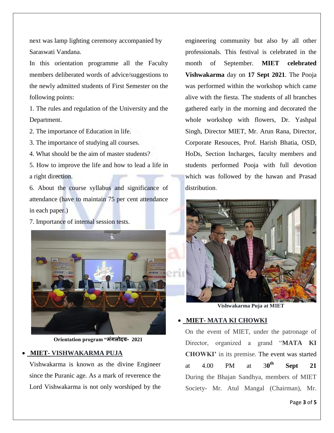next was lamp lighting ceremony accompanied by Saraswati Vandana.

In this orientation programme all the Faculty members deliberated words of advice/suggestions to the newly admitted students of First Semester on the following points:

1. The rules and regulation of the University and the Department.

2. The importance of Education in life.

3. The importance of studying all courses.

4. What should be the aim of master students?

5. How to improve the life and how to lead a life in a right direction.

6. About the course syllabus and significance of attendance (have to maintain 75 per cent attendance in each paper.)

7. Importance of internal session tests.



**Orientation program "मंगलोदय- 2021**

### **MIET- VISHWAKARMA PUJA**

Vishwakarma is known as the divine Engineer since the Puranic age. As a mark of reverence the Lord Vishwakarma is not only worshiped by the engineering community but also by all other professionals. This festival is celebrated in the month of September. **MIET celebrated Vishwakarma** day on **17 Sept 2021**. The Pooja was performed within the workshop which came alive with the fiesta. The students of all branches gathered early in the morning and decorated the whole workshop with flowers, Dr. Yashpal Singh, Director MIET, Mr. Arun Rana, Director, Corporate Resouces, Prof. Harish Bhatia, OSD, HoDs, Section Incharges, faculty members and students performed Pooja with full devotion which was followed by the hawan and Prasad distribution.



**Vishwakarma Puja at MIET**

### **MIET- MATA KI CHOWKI**

On the event of MIET, under the patronage of Director, organized a grand "**MATA KI CHOWKI'** in its premise. The event was started at  $4.00$  PM at  $30^{\text{th}}$ **Sept** 21 During the Bhajan Sandhya, members of MIET Society- Mr. Atul Mangal (Chairman), Mr.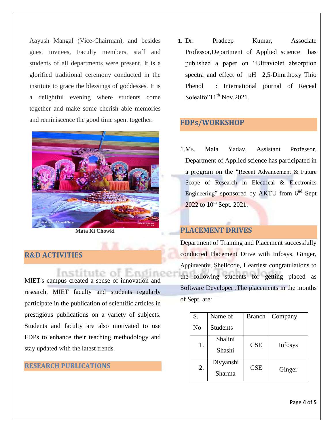Aayush Mangal (Vice-Chairman), and besides guest invitees, Faculty members, staff and students of all departments were present. It is a glorified traditional ceremony conducted in the institute to grace the blessings of goddesses. It is a delightful evening where students come together and make some cherish able memories and reminiscence the good time spent together.



**Mata Ki Chowki**

#### **R&D ACTIVITIES**

Institute of Engine MIET's campus created a sense of innovation and research. MIET faculty and students regularly participate in the publication of scientific articles in prestigious publications on a variety of subjects. Students and faculty are also motivated to use FDPs to enhance their teaching methodology and stay updated with the latest trends.

#### **RESEARCH PUBLICATIONS**

1. Dr. Pradeep Kumar, Associate Professor,Department of Applied science has published a paper on "Ultraviolet absorption spectra and effect of pH 2,5-Dimrthoxy Thio Phenol : International journal of Receal Solealfo" $11^{th}$  Nov. 2021.

## **FDPs/WORKSHOP**

1.Ms. Mala Yadav, Assistant Professor, Department of Applied science has participated in a program on the "Recent Advancement & Future Scope of Research in Electrical & Electronics Engineering" sponsored by AKTU from  $6^{nd}$  Sept  $2022$  to  $10^{th}$  Sept. 2021.

## **PLACEMENT DRIVES**

Department of Training and Placement successfully conducted Placement Drive with Infosys, Ginger, Appinventiv, Shellcode, Heartiest congratulations to the following students for getting placed as Software Developer .The placements in the months of Sept. are:

| S.             | Name of         | <b>Branch</b> | Company        |
|----------------|-----------------|---------------|----------------|
| N <sub>o</sub> | <b>Students</b> |               |                |
| 1.             | Shalini         | <b>CSE</b>    | <b>Infosys</b> |
|                | Shashi          |               |                |
| 2.             | Divyanshi       | CSE           | Ginger         |
|                | Sharma          |               |                |